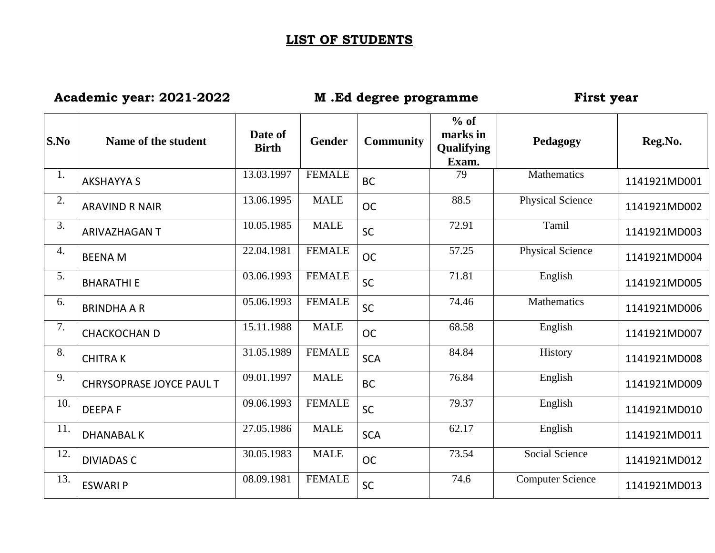## **LIST OF STUDENTS**

## **Academic year: 2021-2022 M .Ed degree programme First year**

| S.No             | Name of the student      | Date of<br><b>Birth</b> | Gender        | <b>Community</b> | $%$ of<br>marks in<br><b>Qualifying</b><br>Exam. | Pedagogy                | Reg.No.      |
|------------------|--------------------------|-------------------------|---------------|------------------|--------------------------------------------------|-------------------------|--------------|
| 1.               | <b>AKSHAYYA S</b>        | 13.03.1997              | <b>FEMALE</b> | <b>BC</b>        | 79                                               | Mathematics             | 1141921MD001 |
| 2.               | <b>ARAVIND R NAIR</b>    | 13.06.1995              | <b>MALE</b>   | <b>OC</b>        | 88.5                                             | <b>Physical Science</b> | 1141921MD002 |
| 3.               | <b>ARIVAZHAGAN T</b>     | 10.05.1985              | <b>MALE</b>   | <b>SC</b>        | 72.91                                            | Tamil                   | 1141921MD003 |
| $\overline{4}$ . | <b>BEENAM</b>            | 22.04.1981              | <b>FEMALE</b> | <b>OC</b>        | 57.25                                            | <b>Physical Science</b> | 1141921MD004 |
| 5.               | <b>BHARATHI E</b>        | 03.06.1993              | <b>FEMALE</b> | <b>SC</b>        | 71.81                                            | English                 | 1141921MD005 |
| 6.               | <b>BRINDHA A R</b>       | 05.06.1993              | <b>FEMALE</b> | <b>SC</b>        | 74.46                                            | Mathematics             | 1141921MD006 |
| 7.               | <b>CHACKOCHAN D</b>      | 15.11.1988              | <b>MALE</b>   | <b>OC</b>        | 68.58                                            | English                 | 1141921MD007 |
| 8.               | <b>CHITRAK</b>           | 31.05.1989              | <b>FEMALE</b> | <b>SCA</b>       | 84.84                                            | History                 | 1141921MD008 |
| 9.               | CHRYSOPRASE JOYCE PAUL T | 09.01.1997              | <b>MALE</b>   | <b>BC</b>        | 76.84                                            | English                 | 1141921MD009 |
| 10.              | <b>DEEPAF</b>            | 09.06.1993              | <b>FEMALE</b> | SC               | 79.37                                            | English                 | 1141921MD010 |
| 11.              | <b>DHANABAL K</b>        | 27.05.1986              | <b>MALE</b>   | <b>SCA</b>       | 62.17                                            | English                 | 1141921MD011 |
| 12.              | <b>DIVIADAS C</b>        | 30.05.1983              | <b>MALE</b>   | <b>OC</b>        | 73.54                                            | <b>Social Science</b>   | 1141921MD012 |
| 13.              | <b>ESWARI P</b>          | 08.09.1981              | <b>FEMALE</b> | <b>SC</b>        | 74.6                                             | <b>Computer Science</b> | 1141921MD013 |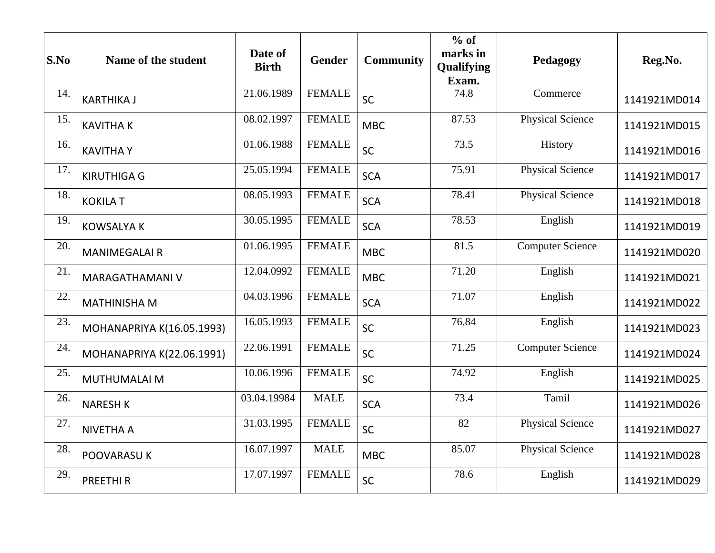| S.No | Name of the student       | Date of<br><b>Birth</b> | Gender        | <b>Community</b> | $%$ of<br>marks in<br>Qualifying<br>Exam. | Pedagogy                | Reg.No.      |
|------|---------------------------|-------------------------|---------------|------------------|-------------------------------------------|-------------------------|--------------|
| 14.  | <b>KARTHIKA J</b>         | 21.06.1989              | <b>FEMALE</b> | SC               | 74.8                                      | Commerce                | 1141921MD014 |
| 15.  | <b>KAVITHAK</b>           | 08.02.1997              | <b>FEMALE</b> | <b>MBC</b>       | 87.53                                     | <b>Physical Science</b> | 1141921MD015 |
| 16.  | <b>KAVITHAY</b>           | 01.06.1988              | <b>FEMALE</b> | <b>SC</b>        | 73.5                                      | History                 | 1141921MD016 |
| 17.  | <b>KIRUTHIGA G</b>        | 25.05.1994              | <b>FEMALE</b> | <b>SCA</b>       | 75.91                                     | <b>Physical Science</b> | 1141921MD017 |
| 18.  | <b>KOKILA T</b>           | 08.05.1993              | <b>FEMALE</b> | <b>SCA</b>       | 78.41                                     | <b>Physical Science</b> | 1141921MD018 |
| 19.  | <b>KOWSALYA K</b>         | 30.05.1995              | <b>FEMALE</b> | <b>SCA</b>       | 78.53                                     | English                 | 1141921MD019 |
| 20.  | <b>MANIMEGALAIR</b>       | 01.06.1995              | <b>FEMALE</b> | <b>MBC</b>       | 81.5                                      | <b>Computer Science</b> | 1141921MD020 |
| 21.  | <b>MARAGATHAMANI V</b>    | 12.04.0992              | <b>FEMALE</b> | <b>MBC</b>       | 71.20                                     | English                 | 1141921MD021 |
| 22.  | <b>MATHINISHA M</b>       | 04.03.1996              | <b>FEMALE</b> | <b>SCA</b>       | 71.07                                     | English                 | 1141921MD022 |
| 23.  | MOHANAPRIYA K(16.05.1993) | 16.05.1993              | <b>FEMALE</b> | SC               | 76.84                                     | English                 | 1141921MD023 |
| 24.  | MOHANAPRIYA K(22.06.1991) | 22.06.1991              | <b>FEMALE</b> | SC               | 71.25                                     | <b>Computer Science</b> | 1141921MD024 |
| 25.  | MUTHUMALAI M              | 10.06.1996              | <b>FEMALE</b> | SC               | 74.92                                     | English                 | 1141921MD025 |
| 26.  | <b>NARESH K</b>           | 03.04.19984             | <b>MALE</b>   | <b>SCA</b>       | 73.4                                      | Tamil                   | 1141921MD026 |
| 27.  | <b>NIVETHA A</b>          | 31.03.1995              | <b>FEMALE</b> | <b>SC</b>        | $\overline{82}$                           | <b>Physical Science</b> | 1141921MD027 |
| 28.  | POOVARASU K               | 16.07.1997              | <b>MALE</b>   | <b>MBC</b>       | 85.07                                     | <b>Physical Science</b> | 1141921MD028 |
| 29.  | <b>PREETHIR</b>           | 17.07.1997              | <b>FEMALE</b> | SC               | 78.6                                      | English                 | 1141921MD029 |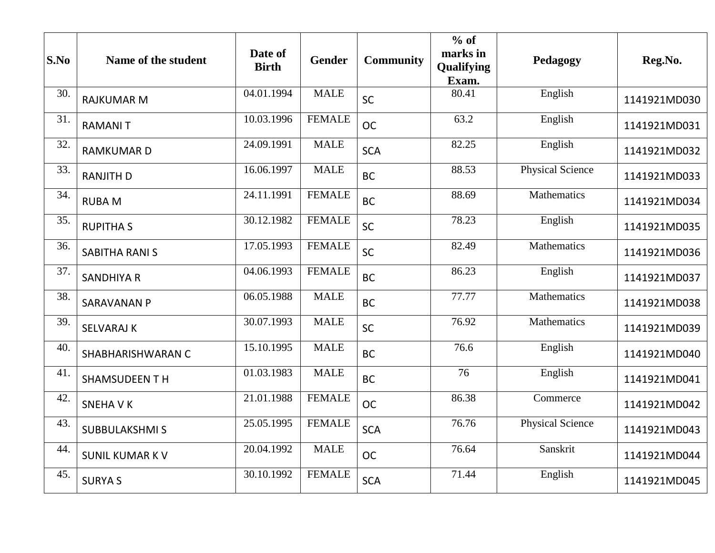| S.No | Name of the student   | Date of<br><b>Birth</b> | Gender        | <b>Community</b> | $%$ of<br>marks in<br>Qualifying<br>Exam. | Pedagogy                | Reg.No.      |
|------|-----------------------|-------------------------|---------------|------------------|-------------------------------------------|-------------------------|--------------|
| 30.  | <b>RAJKUMAR M</b>     | 04.01.1994              | <b>MALE</b>   | <b>SC</b>        | 80.41                                     | English                 | 1141921MD030 |
| 31.  | <b>RAMANIT</b>        | 10.03.1996              | <b>FEMALE</b> | <b>OC</b>        | 63.2                                      | English                 | 1141921MD031 |
| 32.  | <b>RAMKUMARD</b>      | 24.09.1991              | <b>MALE</b>   | <b>SCA</b>       | 82.25                                     | English                 | 1141921MD032 |
| 33.  | <b>RANJITH D</b>      | 16.06.1997              | <b>MALE</b>   | <b>BC</b>        | 88.53                                     | <b>Physical Science</b> | 1141921MD033 |
| 34.  | <b>RUBAM</b>          | 24.11.1991              | <b>FEMALE</b> | <b>BC</b>        | 88.69                                     | <b>Mathematics</b>      | 1141921MD034 |
| 35.  | <b>RUPITHAS</b>       | 30.12.1982              | <b>FEMALE</b> | SC               | 78.23                                     | English                 | 1141921MD035 |
| 36.  | <b>SABITHA RANI S</b> | 17.05.1993              | <b>FEMALE</b> | SC               | 82.49                                     | Mathematics             | 1141921MD036 |
| 37.  | <b>SANDHIYA R</b>     | 04.06.1993              | <b>FEMALE</b> | <b>BC</b>        | 86.23                                     | English                 | 1141921MD037 |
| 38.  | <b>SARAVANAN P</b>    | 06.05.1988              | <b>MALE</b>   | <b>BC</b>        | 77.77                                     | <b>Mathematics</b>      | 1141921MD038 |
| 39.  | <b>SELVARAJ K</b>     | 30.07.1993              | <b>MALE</b>   | <b>SC</b>        | 76.92                                     | Mathematics             | 1141921MD039 |
| 40.  | SHABHARISHWARAN C     | 15.10.1995              | <b>MALE</b>   | <b>BC</b>        | 76.6                                      | English                 | 1141921MD040 |
| 41.  | <b>SHAMSUDEEN T H</b> | 01.03.1983              | <b>MALE</b>   | <b>BC</b>        | 76                                        | English                 | 1141921MD041 |
| 42.  | <b>SNEHAVK</b>        | 21.01.1988              | <b>FEMALE</b> | <b>OC</b>        | 86.38                                     | Commerce                | 1141921MD042 |
| 43.  | <b>SUBBULAKSHMI S</b> | 25.05.1995              | <b>FEMALE</b> | <b>SCA</b>       | 76.76                                     | <b>Physical Science</b> | 1141921MD043 |
| 44.  | <b>SUNIL KUMAR KV</b> | 20.04.1992              | <b>MALE</b>   | <b>OC</b>        | 76.64                                     | Sanskrit                | 1141921MD044 |
| 45.  | <b>SURYAS</b>         | 30.10.1992              | <b>FEMALE</b> | <b>SCA</b>       | 71.44                                     | English                 | 1141921MD045 |